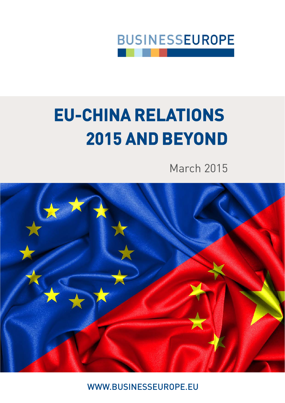

# **EU-CHINA RELATIONS 2015 AND BEYOND**

March 2015



WWW.BUSINESSEUROPE.EU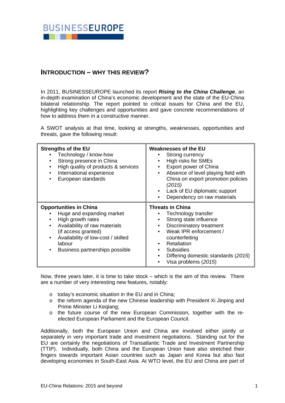

# **INTRODUCTION – WHY THIS REVIEW?**

In 2011, BUSINESSEUROPE launched its report *Rising to the China Challenge*, an in-depth examination of China's economic development and the state of the EU-China bilateral relationship. The report pointed to critical issues for China and the EU, highlighting key challenges and opportunities and gave concrete recommendations of how to address them in a constructive manner.

A SWOT analysis at that time, looking at strengths, weaknesses, opportunities and threats, gave the following result:

| <b>Strengths of the EU</b><br>Technology / know-how<br>Strong presence in China<br>٠<br>High quality of products & services<br>International experience<br>$\bullet$<br>European standards<br>٠                                                  | <b>Weaknesses of the EU</b><br>Strong currency<br>High risks for SMEs<br>$\bullet$<br>Export power of China<br>Absence of level playing field with<br>$\bullet$<br>China on export promotion policies<br>(2015)<br>Lack of EU diplomatic support<br>$\bullet$<br>Dependency on raw materials |
|--------------------------------------------------------------------------------------------------------------------------------------------------------------------------------------------------------------------------------------------------|----------------------------------------------------------------------------------------------------------------------------------------------------------------------------------------------------------------------------------------------------------------------------------------------|
| <b>Opportunities in China</b><br>Huge and expanding market<br>High growth rates<br>Availability of raw materials<br>$\bullet$<br>(if access granted)<br>Availability of low-cost / skilled<br>٠<br>labour<br>Business partnerships possible<br>٠ | Threats in China<br>Technology transfer<br>Strong state influence<br>٠<br>Discriminatory treatment<br>$\bullet$<br>Weak IPR enforcement /<br>$\bullet$<br>counterfeiting<br>Retaliation<br>$\bullet$<br><b>Subsidies</b><br>٠<br>Differing domestic standards (2015)<br>Visa problems (2015) |

Now, three years later, it is time to take stock – which is the aim of this review. There are a number of very interesting new features, notably:

- o today's economic situation in the EU and in China;
- $\circ$  the reform agenda of the new Chinese leadership with President Xi Jinping and Prime Minister Li Kegiang:
- o the future course of the new European Commission, together with the reelected European Parliament and the European Council.

Additionally, both the European Union and China are involved either jointly or separately in very important trade and investment negotiations. Standing out for the EU are certainly the negotiations of Transatlantic Trade and Investment Partnership (TTIP). Individually, both China and the European Union have also stretched their fingers towards important Asian countries such as Japan and Korea but also fast developing economies in South-East Asia. At WTO level, the EU and China are part of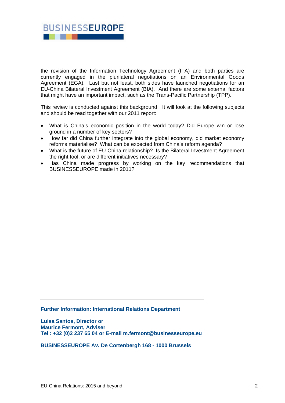

the revision of the Information Technology Agreement (ITA) and both parties are currently engaged in the plurilateral negotiations on an Environmental Goods Agreement (EGA). Last but not least, both sides have launched negotiations for an EU-China Bilateral Investment Agreement (BIA). And there are some external factors that might have an important impact, such as the Trans-Pacific Partnership (TPP).

This review is conducted against this background. It will look at the following subjects and should be read together with our 2011 report:

- What is China's economic position in the world today? Did Europe win or lose ground in a number of key sectors?
- How far did China further integrate into the global economy, did market economy reforms materialise? What can be expected from China's reform agenda?
- What is the future of EU-China relationship? Is the Bilateral Investment Agreement the right tool, or are different initiatives necessary?
- Has China made progress by working on the key recommendations that BUSINESSEUROPE made in 2011?

**Further Information: International Relations Department** 

**Luisa Santos, Director or Maurice Fermont, Adviser Tel : +32 (0)2 237 65 04 or E-mail m.fermont@businesseurope.eu** 

**BUSINESSEUROPE Av. De Cortenbergh 168 - 1000 Brussels**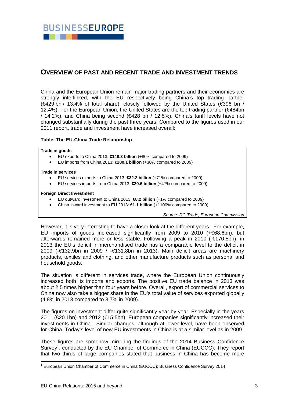

### **OVERVIEW OF PAST AND RECENT TRADE AND INVESTMENT TRENDS**

China and the European Union remain major trading partners and their economies are strongly interlinked, with the EU respectively being China's top trading partner (€429 bn / 13.4% of total share), closely followed by the United States (€396 bn / 12.4%). For the European Union, the United States are the top trading partner (€484bn / 14.2%), and China being second (€428 bn / 12.5%). China's tariff levels have not changed substantially during the past three years. Compared to the figures used in our 2011 report, trade and investment have increased overall:

#### **Table: The EU-China Trade Relationship**

#### **Trade in goods**

- EU exports to China 2013: **€148.3 billion** (+80% compared to 2009)
- EU imports from China 2013: **€280.1 billion** (+30% compared to 2009)

#### **Trade in services**

- EU services exports to China 2013: **€32.2 billion** (+71% compared to 2009)
- EU services imports from China 2013: **€20.6 billion** (+47% compared to 2009)

#### **Foreign Direct Investment**

- EU outward investment to China 2013: **€8.2 billion** (+1% compared to 2009)
- China inward investment to EU 2013: **€1.1 billion** (+1100% compared to 2009)

*Source: DG Trade, European Commission* 

However, it is very interesting to have a closer look at the different years. For example, EU imports of goods increased significantly from 2009 to 2010 (+€68.6bn), but afterwards remained more or less stable. Following a peak in 2010 (-€170.5bn), in 2013 the EU's deficit in merchandised trade has a comparable level to the deficit in 2009 (-€132.9bn in 2009 / -€131.8bn in 2013). Main deficit areas are machinery products, textiles and clothing, and other manufacture products such as personal and household goods.

The situation is different in services trade, where the European Union continuously increased both its imports and exports. The positive EU trade balance in 2013 was about 2.5 times higher than four years before. Overall, export of commercial services to China now also take a bigger share in the EU's total value of services exported globally (4.8% in 2013 compared to 3.7% in 2009).

The figures on investment differ quite significantly year by year. Especially in the years 2011 (€20.1bn) and 2012 (€15.5bn), European companies significantly increased their investments in China. Similar changes, although at lower level, have been observed for China. Today's level of new EU investments in China is at a similar level as in 2009.

These figures are somehow mirroring the findings of the 2014 Business Confidence Survey<sup>1</sup>, conducted by the EU Chamber of Commerce in China (EUCCC). They report that two thirds of large companies stated that business in China has become more

1

<sup>&</sup>lt;sup>1</sup> European Union Chamber of Commerce in China (EUCCC): Business Confidence Survey 2014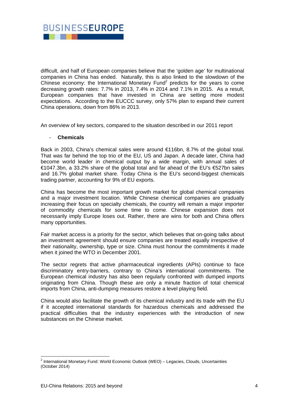

difficult, and half of European companies believe that the 'golden age' for multinational companies in China has ended. Naturally, this is also linked to the slowdown of the Chinese economy: the International Monetary Fund<sup>2</sup> predicts for the years to come decreasing growth rates: 7.7% in 2013, 7.4% in 2014 and 7.1% in 2015. As a result, European companies that have invested in China are setting more modest expectations. According to the EUCCC survey, only 57% plan to expand their current China operations, down from 86% in 2013.

An overview of key sectors, compared to the situation described in our 2011 report

#### - **Chemicals**

Back in 2003, China's chemical sales were around €116bn, 8.7% of the global total. That was far behind the top trio of the EU, US and Japan. A decade later, China had become world leader in chemical output by a wide margin, with annual sales of €1047.3bn, a 33.2% share of the global total and far ahead of the EU's €527bn sales and 16.7% global market share. Today China is the EU's second-biggest chemicals trading partner, accounting for 9% of EU exports.

China has become the most important growth market for global chemical companies and a major investment location. While Chinese chemical companies are gradually increasing their focus on specialty chemicals, the country will remain a major importer of commodity chemicals for some time to come. Chinese expansion does not necessarily imply Europe loses out. Rather, there are wins for both and China offers many opportunities.

Fair market access is a priority for the sector, which believes that on-going talks about an investment agreement should ensure companies are treated equally irrespective of their nationality, ownership, type or size. China must honour the commitments it made when it joined the WTO in December 2001.

The sector regrets that active pharmaceutical ingredients (APIs) continue to face discriminatory entry-barriers, contrary to China's international commitments. The European chemical industry has also been regularly confronted with dumped imports originating from China. Though these are only a minute fraction of total chemical imports from China, anti-dumping measures restore a level playing field.

China would also facilitate the growth of its chemical industry and its trade with the EU if it accepted international standards for hazardous chemicals and addressed the practical difficulties that the industry experiences with the introduction of new substances on the Chinese market.

 2 International Monetary Fund: World Economic Outlook (WEO) – Legacies, Clouds, Uncertainties (October 2014)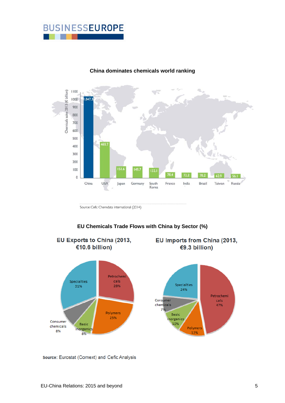



#### **China dominates chemicals world ranking**

Source: Cefic Chemdata International (2014)

### **EU Chemicals Trade Flows with China by Sector (%)**



EU Imports from China (2013,

Source: Eurostat (Comext) and Cefic Analysis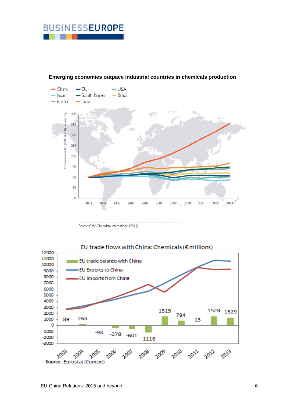



#### **Emerging economies outpace industrial countries in chemicals production**

Source: Cefic Chemdata International (2014)



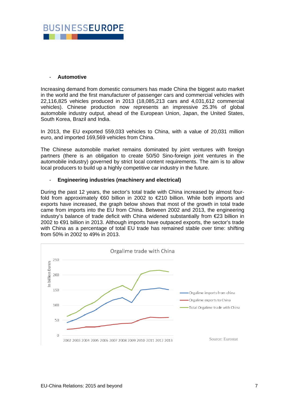

#### - **Automotive**

Increasing demand from domestic consumers has made China the biggest auto market in the world and the first manufacturer of passenger cars and commercial vehicles with 22,116,825 vehicles produced in 2013 (18,085,213 cars and 4,031,612 commercial vehicles). Chinese production now represents an impressive 25.3% of global automobile industry output, ahead of the European Union, Japan, the United States, South Korea, Brazil and India.

In 2013, the EU exported 559,033 vehicles to China, with a value of 20,031 million euro, and imported 169,569 vehicles from China.

The Chinese automobile market remains dominated by joint ventures with foreign partners (there is an obligation to create 50/50 Sino-foreign joint ventures in the automobile industry) governed by strict local content requirements. The aim is to allow local producers to build up a highly competitive car industry in the future.

#### - **Engineering industries (machinery and electrical)**

During the past 12 years, the sector's total trade with China increased by almost fourfold from approximately €60 billion in 2002 to €210 billion. While both imports and exports have increased, the graph below shows that most of the growth in total trade came from imports into the EU from China. Between 2002 and 2013, the engineering industry's balance of trade deficit with China widened substantially from  $\epsilon$ 23 billion in 2002 to €91 billion in 2013. Although imports have outpaced exports, the sector's trade with China as a percentage of total EU trade has remained stable over time: shifting from 50% in 2002 to 49% in 2013.

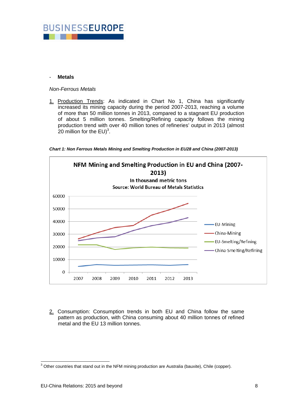

#### - **Metals**

#### *Non-Ferrous Metals*

1. Production Trends: As indicated in Chart No 1, China has significantly increased its mining capacity during the period 2007-2013, reaching a volume of more than 50 million tonnes in 2013, compared to a stagnant EU production of about 5 million tonnes. Smelting/Refining capacity follows the mining production trend with over 40 million tones of refineries' output in 2013 (almost 20 million for the  $EU)^3$ .

*Chart 1: Non Ferrous Metals Mining and Smelting Production in EU28 and China (2007-2013)* 



2. Consumption: Consumption trends in both EU and China follow the same pattern as production, with China consuming about 40 million tonnes of refined metal and the EU 13 million tonnes.

 3 Other countries that stand out in the NFM mining production are Australia (bauxite), Chile (copper).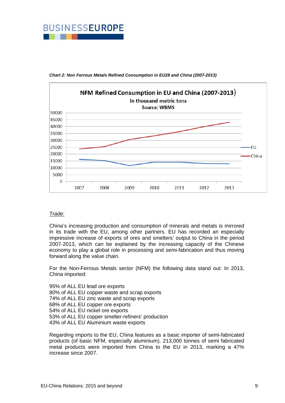



*Chart 2: Non Ferrous Metals Refined Consumption in EU28 and China (2007-2013)* 

#### *Trade:*

China's increasing production and consumption of minerals and metals is mirrored in its trade with the EU, among other partners. EU has recorded an especially impressive increase of exports of ores and smelters' output to China in the period 2007-2013, which can be explained by the increasing capacity of the Chinese economy to play a global role in processing and semi-fabrication and thus moving forward along the value chain.

For the Non-Ferrous Metals sector (NFM) the following data stand out: In 2013, China imported:

95% of ALL EU lead ore exports 80% of ALL EU copper waste and scrap exports 74% of ALL EU zinc waste and scrap exports 68% of ALL EU copper ore exports 54% of ALL EU nickel ore exports 53% of ALL EU copper smelter-refiners' production 43% of ALL EU Aluminium waste exports

Regarding imports to the EU, China features as a basic importer of semi-fabricated products (of basic NFM, especially aluminium). 213,000 tonnes of semi fabricated metal products were imported from China to the EU in 2013, marking a 47% increase since 2007.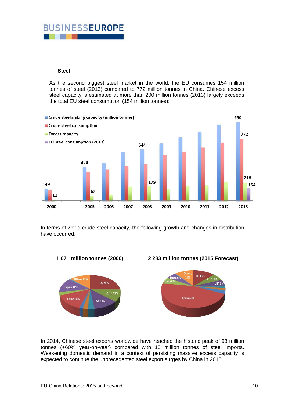# **BUSINESSEUROPE**

#### - **Steel**

As the second biggest steel market in the world, the EU consumes 154 million tonnes of steel (2013) compared to 772 million tonnes in China. Chinese excess steel capacity is estimated at more than 200 million tonnes (2013) largely exceeds the total EU steel consumption (154 million tonnes):



In terms of world crude steel capacity, the following growth and changes in distribution have occurred:



In 2014, Chinese steel exports worldwide have reached the historic peak of 93 million tonnes (+60% year-on-year) compared with 15 million tonnes of steel imports. Weakening domestic demand in a context of persisting massive excess capacity is expected to continue the unprecedented steel export surges by China in 2015.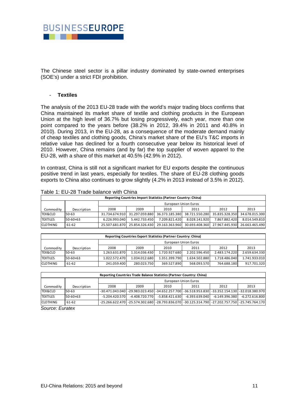

The Chinese steel sector is a pillar industry dominated by state-owned enterprises (SOE's) under a strict FDI prohibition.

#### - **Textiles**

The analysis of the 2013 EU-28 trade with the world's major trading blocs confirms that China maintained its market share of textile and clothing products in the European Union at the high level of 36.7% but losing progressively, each year, more than one point compared to the years before (38.2% in 2012, 39.4% in 2011 and 40.8% in 2010). During 2013, in the EU-28, as a consequence of the moderate demand mainly of cheap textiles and clothing goods, China's market share of the EU's T&C imports in relative value has declined for a fourth consecutive year below its historical level of 2010. However, China remains (and by far) the top supplier of woven apparel to the EU-28, with a share of this market at 40.5% (42.9% in 2012).

In contrast, China is still not a significant market for EU exports despite the continuous positive trend in last years, especially for textiles. The share of EU-28 clothing goods exports to China also continues to grow slightly (4.2% in 2013 instead of 3.5% in 2012).

| Reporting Countries Import Statistics (Partner Country: China) |             |                      |                               |                |                               |                               |                |  |
|----------------------------------------------------------------|-------------|----------------------|-------------------------------|----------------|-------------------------------|-------------------------------|----------------|--|
|                                                                |             | European Union Euros |                               |                |                               |                               |                |  |
| Commodity                                                      | Description | 2008                 | 2009                          | 2010           | 2011                          | 2012                          | 2013           |  |
| <b>TEX&amp;CLO</b>                                             | $50 - 63$   |                      | 31.734.674.910 31.297.059.880 |                | 36.373.185.380 38.721.550.280 | 35.835.328.350                | 34.678.015.300 |  |
| <b>ITEXTILES</b>                                               | 50-60+63    | 6.226.993.040        | 5.442.733.450                 | 7.209.821.420  | 8.028.141.920                 | 7.867.882.420                 | 8.014.549.810  |  |
| <b>CLOTHING</b>                                                | 61-62       | 25.507.681.870       | 25.854.326.430                | 29.163.363.960 |                               | 30.693.408.360 27.967.445.930 | 26.663.465.490 |  |

Table 1: EU-28 Trade balance with China

| Reporting Countries Export Statistics (Partner Country: China) |                      |               |               |               |               |               |               |
|----------------------------------------------------------------|----------------------|---------------|---------------|---------------|---------------|---------------|---------------|
|                                                                | European Union Euros |               |               |               |               |               |               |
| Commodity                                                      | Description          | 2008          | 2009          | 2010          | 2011          | 2012          | 2013          |
| <b>TEX&amp;CLO</b>                                             | $50-63$              | 1.263.631.870 | 1.314.036.430 | 1.720.927.680 | 2.202.596.450 | 2.483.174.220 | 2.659.634.330 |
| <b>TEXTILES</b>                                                | 50-60+63             | 1.022.572.470 | 1.034.012.680 | 1.351.399.790 | 1.634.502.880 | 1.718.486.040 | 1.741.933.010 |
| <b>CLOTHING</b>                                                | 61-62                | 241.059.400   | 280.023.750   | 369.527.890   | 568.093.570   | 764.688.180   | 917.701.320   |

| Reporting Countries Trade Balance Statistics (Partner Country: China) |             |                      |                  |                                                                                                      |                  |                |                |
|-----------------------------------------------------------------------|-------------|----------------------|------------------|------------------------------------------------------------------------------------------------------|------------------|----------------|----------------|
|                                                                       |             | European Union Euros |                  |                                                                                                      |                  |                |                |
| Commodity                                                             | Description | 2008                 | 2009             | 2010                                                                                                 | 2011             | 2012           | 2013           |
| <b>TEX&amp;CLO</b>                                                    | 50-63       |                      |                  | -30.471.043.040  -29.983.023.450  -34.652.257.700  -36.518.953.830  -33.352.154.130  -32.018.380.970 |                  |                |                |
| <b>TEXTILES</b>                                                       | 50-60+63    | $-5.204.420.570$     | $-4.408.720.770$ | $-5.858.421.630$                                                                                     | $-6.393.639.040$ | -6.149.396.380 | -6.272.616.800 |
| <b>CLOTHING</b>                                                       | 61-62       |                      |                  | -25.266.622.470 -25.574.302.680 -28.793.836.070 -30.125.314.790 -27.202.757.750 -25.745.764.170      |                  |                |                |

*Source: Euratex*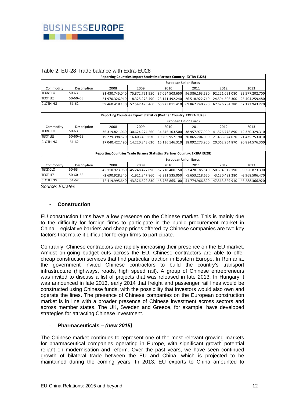| $\alpha$ <sub>DI</sub> C $\epsilon$ . LU- $\epsilon$ <sub>D</sub> Trauc Dalance With LATI $\alpha$ -LU $\epsilon$ O |                |                      |                   |                   |                   |                   |                   |  |  |
|---------------------------------------------------------------------------------------------------------------------|----------------|----------------------|-------------------|-------------------|-------------------|-------------------|-------------------|--|--|
| Reporting Countries Import Statistics (Partner Country: EXTRA EU28)                                                 |                |                      |                   |                   |                   |                   |                   |  |  |
|                                                                                                                     |                | European Union Euros |                   |                   |                   |                   |                   |  |  |
| Commodity                                                                                                           | Description    | 2008                 | 2009              | 2010              | 2011              | 2012              | 2013              |  |  |
| TEX&CLO                                                                                                             | $50 - 63$      | 81.430.745.040       | 75.872.751.950    | 87.064.503.650    | 96.386.163.530    | 92.221.091.080    | 92.577.202.700    |  |  |
| <b>TEXTILES</b>                                                                                                     | $50 - 60 + 63$ | 21.970.326.910       | 18.325.278.490    | 23.141.492.240    | 26.518.922.740    | 24.594.306.300    | 25.404.259.480    |  |  |
| <b>CLOTHING</b>                                                                                                     | 61-62          | 59.460.418.130       | 57.547.473.460    | 63.923.011.410    | 69.867.240.790    | 67.626.784.780    | 67.172.943.220    |  |  |
|                                                                                                                     |                |                      |                   |                   |                   |                   |                   |  |  |
| Reporting Countries Export Statistics (Partner Country: EXTRA EU28)                                                 |                |                      |                   |                   |                   |                   |                   |  |  |
|                                                                                                                     |                | European Union Euros |                   |                   |                   |                   |                   |  |  |
| Commodity                                                                                                           | Description    | 2008                 | 2009              | 2010              | 2011              | 2012              | 2013              |  |  |
| TEX&CLO                                                                                                             | $50 - 63$      | 36.319.821.060       | 30.624.274.260    | 34.346.103.500    | 38.957.977.990    | 41.526.778.890    | 42.320.329.310    |  |  |
| <b>TEXTILES</b>                                                                                                     | $50 - 60 + 63$ | 19.279.398.570       | 16.403.430.630    | 19.209.957.190    | 20.865.704.090    | 21.463.824.020    | 21.435.753.010    |  |  |
| <b>CLOTHING</b>                                                                                                     | 61-62          | 17.040.422.490       | 14.220.843.630    | 15.136.146.310    | 18.092.273.900    | 20.062.954.870    | 20.884.576.300    |  |  |
|                                                                                                                     |                |                      |                   |                   |                   |                   |                   |  |  |
| Reporting Countries Trade Balance Statistics (Partner Country: EXTRA EU28)                                          |                |                      |                   |                   |                   |                   |                   |  |  |
|                                                                                                                     |                | European Union Euros |                   |                   |                   |                   |                   |  |  |
| Commodity                                                                                                           | Description    | 2008                 | 2009              | 2010              | 2011              | 2012              | 2013              |  |  |
| TEX&CLO                                                                                                             | $50 - 63$      | -45.110.923.980      | $-45.248.477.690$ | $-52.718.400.150$ | $-57.428.185.540$ | $-50.694.312.190$ | -50.256.873.390   |  |  |
| <b>TEXTILES</b>                                                                                                     | $50 - 60 + 63$ | $-2.690.928.340$     | $-1.921.847.860$  | $-3.931.535.050$  | $-5.653.218.650$  | $-3.130.482.280$  | $-3.968.506.470$  |  |  |
| <b>CLOTHING</b>                                                                                                     | 61-62          | $-42.419.995.640$    | -43.326.629.830   | -48.786.865.100   | -51.774.966.890   | $-47.563.829.910$ | $-46.288.366.920$ |  |  |

#### Table 2: EU-28 Trade balance with Extra-EU28

*Source: Euratex* 

#### - **Construction**

EU construction firms have a low presence on the Chinese market. This is mainly due to the difficulty for foreign firms to participate in the public procurement market in China. Legislative barriers and cheap prices offered by Chinese companies are two key factors that make it difficult for foreign firms to participate.

Contrarily, Chinese contractors are rapidly increasing their presence on the EU market. Amidst on-going budget cuts across the EU, Chinese contractors are able to offer cheap construction services that find particular traction in Eastern Europe. In Romania, the government invited Chinese contractors to build the country's transport infrastructure (highways, roads, high speed rail). A group of Chinese entrepreneurs was invited to discuss a list of projects that was released in late 2013. In Hungary it was announced in late 2013, early 2014 that freight and passenger rail lines would be constructed using Chinese funds, with the possibility that investors would also own and operate the lines. The presence of Chinese companies on the European construction market is in line with a broader presence of Chinese investment across sectors and across member states. The UK, Sweden and Greece, for example, have developed strategies for attracting Chinese investment.

#### - **Pharmaceuticals** *– (new 2015)*

The Chinese market continues to represent one of the most relevant growing markets for pharmaceutical companies operating in Europe, with significant growth potential reliant on modernisation and reform. Over the past years, we have seen continued growth of bilateral trade between the EU and China, which is projected to be maintained during the coming years. In 2013, EU exports to China amounted to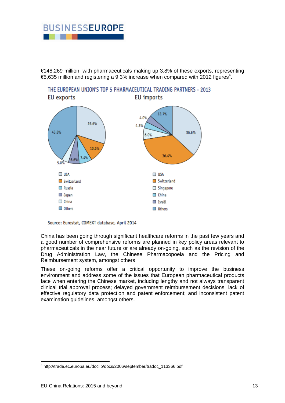# **BUSINESSEUROPE**

€148,269 million, with pharmaceuticals making up 3.8% of these exports, representing €5,635 million and registering a 9,3% increase when compared with 2012 figures<sup>4</sup>.



Source: Eurostat, COMEXT database, April 2014

China has been going through significant healthcare reforms in the past few years and a good number of comprehensive reforms are planned in key policy areas relevant to pharmaceuticals in the near future or are already on-going, such as the revision of the Drug Administration Law, the Chinese Pharmacopoeia and the Pricing and Reimbursement system, amongst others.

These on-going reforms offer a critical opportunity to improve the business environment and address some of the issues that European pharmaceutical products face when entering the Chinese market, including lengthy and not always transparent clinical trial approval process; delayed government reimbursement decisions; lack of effective regulatory data protection and patent enforcement; and inconsistent patent examination guidelines, amongst others.

<sup>1</sup> 4 http://trade.ec.europa.eu/doclib/docs/2006/september/tradoc\_113366.pdf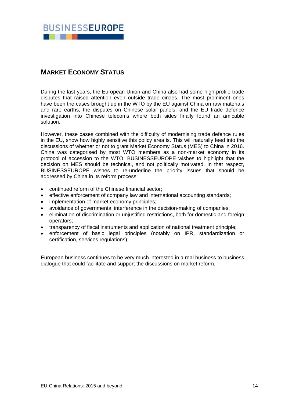![](_page_14_Picture_0.jpeg)

# **MARKET ECONOMY STATUS**

During the last years, the European Union and China also had some high-profile trade disputes that raised attention even outside trade circles. The most prominent ones have been the cases brought up in the WTO by the EU against China on raw materials and rare earths, the disputes on Chinese solar panels, and the EU trade defence investigation into Chinese telecoms where both sides finally found an amicable solution.

However, these cases combined with the difficulty of modernising trade defence rules in the EU, show how highly sensitive this policy area is. This will naturally feed into the discussions of whether or not to grant Market Economy Status (MES) to China in 2016. China was categorised by most WTO members as a non-market economy in its protocol of accession to the WTO. BUSINESSEUROPE wishes to highlight that the decision on MES should be technical, and not politically motivated. In that respect, BUSINESSEUROPE wishes to re-underline the priority issues that should be addressed by China in its reform process:

- continued reform of the Chinese financial sector;
- effective enforcement of company law and international accounting standards;
- implementation of market economy principles;
- avoidance of governmental interference in the decision-making of companies;
- elimination of discrimination or unjustified restrictions, both for domestic and foreign operators;
- transparency of fiscal instruments and application of national treatment principle;
- enforcement of basic legal principles (notably on IPR, standardization or certification, services regulations);

European business continues to be very much interested in a real business to business dialogue that could facilitate and support the discussions on market reform.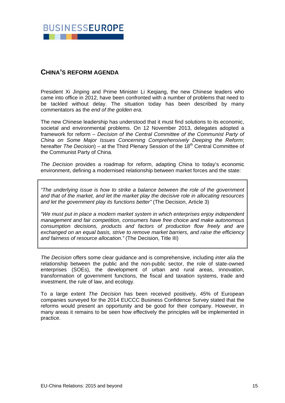![](_page_15_Picture_0.jpeg)

# **CHINA'S REFORM AGENDA**

President Xi Jinping and Prime Minister Li Keqiang, the new Chinese leaders who came into office in 2012, have been confronted with a number of problems that need to be tackled without delay. The situation today has been described by many commentators as the *end of the golden era*.

The new Chinese leadership has understood that it must find solutions to its economic, societal and environmental problems. On 12 November 2013, delegates adopted a framework for reform – *Decision of the Central Committee of the Communist Party of China on Some Major Issues Concerning Comprehensively Deeping the Reform*; hereafter *The Decision*) – at the Third Plenary Session of the 18<sup>th</sup> Central Committee of the Communist Party of China.

*The Decision* provides a roadmap for reform, adapting China to today's economic environment, defining a modernised relationship between market forces and the state:

*"The underlying issue is how to strike a balance between the role of the government and that of the market, and let the market play the decisive role in allocating resources and let the government play its functions better"* (The Decision, Article 3)

*"We must put in place a modern market system in which enterprises enjoy independent management and fair competition, consumers have free choice and make autonomous consumption decisions, products and factors of production flow freely and are exchanged on an equal basis, strive to remove market barriers, and raise the efficiency and fairness of resource allocation."* (The Decision, Title III)

*The Decision* offers some clear guidance and is comprehensive, including *inter alia* the relationship between the public and the non-public sector, the role of state-owned enterprises (SOEs), the development of urban and rural areas, innovation, transformation of government functions, the fiscal and taxation systems, trade and investment, the rule of law, and ecology.

To a large extent *The Decision* has been received positively, 45% of European companies surveyed for the 2014 EUCCC Business Confidence Survey stated that the reforms would present an opportunity and be good for their company. However, in many areas it remains to be seen how effectively the principles will be implemented in practice.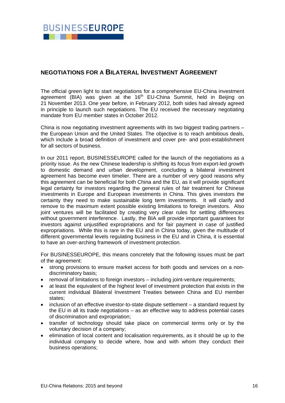![](_page_16_Picture_0.jpeg)

## **NEGOTIATIONS FOR A BILATERAL INVESTMENT AGREEMENT**

The official green light to start negotiations for a comprehensive EU-China investment agreement (BIA) was given at the 16<sup>th</sup> EU-China Summit, held in Beijing on 21 November 2013. One year before, in February 2012, both sides had already agreed in principle to launch such negotiations. The EU received the necessary negotiating mandate from EU member states in October 2012.

China is now negotiating investment agreements with its two biggest trading partners – the European Union and the United States. The objective is to reach ambitious deals, which include a broad definition of investment and cover pre- and post-establishment for all sectors of business.

In our 2011 report, BUSINESSEUROPE called for the launch of the negotiations as a priority issue. As the new Chinese leadership is shifting its focus from export-led growth to domestic demand and urban development, concluding a bilateral investment agreement has become even timelier. There are a number of very good reasons why this agreement can be beneficial for both China and the EU, as it will provide significant legal certainty for investors regarding the general rules of fair treatment for Chinese investments in Europe and European investments in China. This gives investors the certainty they need to make sustainable long term investments. It will clarify and remove to the maximum extent possible existing limitations to foreign investors. Also joint ventures will be facilitated by creating very clear rules for settling differences without government interference. Lastly, the BIA will provide important guarantees for investors against unjustified expropriations and for fair payment in case of justified expropriations. While this is rare in the EU and in China today, given the multitude of different governmental levels regulating business in the EU and in China, it is essential to have an over-arching framework of investment protection.

For BUSINESSEUROPE, this means concretely that the following issues must be part of the agreement:

- strong provisions to ensure market access for both goods and services on a nondiscriminatory basis;
- removal of limitations to foreign investors including joint-venture requirements;
- at least the equivalent of the highest level of investment protection that exists in the current individual Bilateral Investment Treaties between China and EU member states;
- inclusion of an effective investor-to-state dispute settlement a standard request by the EU in all its trade negotiations – as an effective way to address potential cases of discrimination and expropriation;
- transfer of technology should take place on commercial terms only or by the voluntary decision of a company;
- elimination of local content and localisation requirements, as it should be up to the individual company to decide where, how and with whom they conduct their business operations;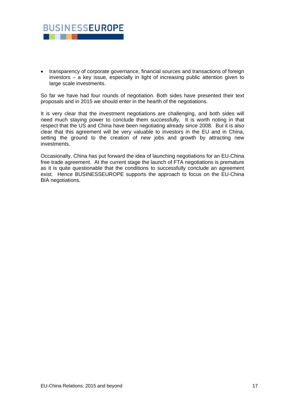![](_page_17_Picture_0.jpeg)

 transparency of corporate governance, financial sources and transactions of foreign investors – a key issue, especially in light of increasing public attention given to large scale investments.

So far we have had four rounds of negotiation. Both sides have presented their text proposals and in 2015 we should enter in the hearth of the negotiations.

It is very clear that the investment negotiations are challenging, and both sides will need much staying power to conclude them successfully. It is worth noting in that respect that the US and China have been negotiating already since 2008. But it is also clear that this agreement will be very valuable to investors in the EU and in China, setting the ground to the creation of new jobs and growth by attracting new investments.

Occasionally, China has put forward the idea of launching negotiations for an EU-China free trade agreement. At the current stage the launch of FTA negotiations is premature as it is quite questionable that the conditions to successfully conclude an agreement exist. Hence BUSINESSEUROPE supports the approach to focus on the EU-China BIA negotiations.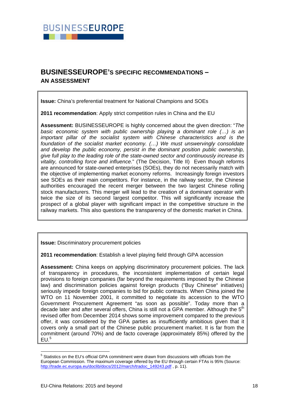![](_page_18_Picture_0.jpeg)

# **BUSINESSEUROPE'S SPECIFIC RECOMMENDATIONS – AN ASSESSMENT**

**Issue:** China's preferential treatment for National Champions and SOEs

**2011 recommendation**: Apply strict competition rules in China and the EU

**Assessment:** BUSINESSEUROPE is highly concerned about the given direction: "*The basic economic system with public ownership playing a dominant role (…) is an important pillar of the socialist system with Chinese characteristics and is the foundation of the socialist market economy. (…) We must unswervingly consolidate and develop the public economy, persist in the dominant position public ownership, give full play to the leading role of the state-owned sector and continuously increase its vitality, controlling force and influence.*" (The Decision, Title II) Even though reforms are announced for state-owned enterprises (SOEs), they do not necessarily match with the objective of implementing market economy reforms. Increasingly foreign investors see SOEs as their main competitors. For instance, in the railway sector, the Chinese authorities encouraged the recent merger between the two largest Chinese rolling stock manufacturers. This merger will lead to the creation of a dominant operator with twice the size of its second largest competitor. This will significantly increase the prospect of a global player with significant impact in the competitive structure in the railway markets. This also questions the transparency of the domestic market in China.

**Issue:** Discriminatory procurement policies

**2011 recommendation**: Establish a level playing field through GPA accession

**Assessment:** China keeps on applying discriminatory procurement policies. The lack of transparency in procedures, the inconsistent implementation of certain legal provisions to foreign companies (far beyond the requirements imposed by the Chinese law) and discrimination policies against foreign products ("Buy Chinese" initiatives) seriously impede foreign companies to bid for public contracts. When China joined the WTO on 11 November 2001, it committed to negotiate its accession to the WTO Government Procurement Agreement "as soon as possible". Today more than a decade later and after several offers, China is still not a GPA member. Although the  $5<sup>th</sup>$ revised offer from December 2014 shows some improvement compared to the previous offer, it was considered by the GPA parties as insufficiently ambitious given that it covers only a small part of the Chinese public procurement market. It is far from the commitment (around 70%) and de facto coverage (approximately 85%) offered by the  $EU.<sup>5</sup>$ 

1

<sup>&</sup>lt;sup>5</sup> Statistics on the EU's official GPA commitment were drawn from discussions with officials from the European Commission. The maximum coverage offered by the EU through certain FTAs is 95% (Source: http://trade.ec.europa.eu/doclib/docs/2012/march/tradoc\_149243.pdf , p. 11).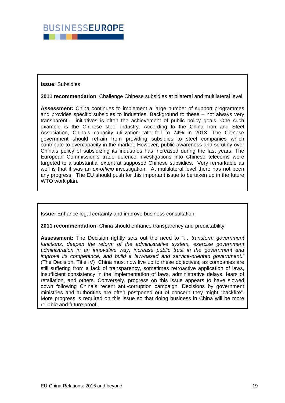![](_page_19_Picture_0.jpeg)

**Issue:** Subsidies

**2011 recommendation**: Challenge Chinese subsidies at bilateral and multilateral level

**Assessment:** China continues to implement a large number of support programmes and provides specific subsidies to industries. Background to these – not always very transparent – initiatives is often the achievement of public policy goals. One such example is the Chinese steel industry. According to the China Iron and Steel Association, China's capacity utilization rate fell to 74% in 2013. The Chinese government should refrain from providing subsidies to steel companies which contribute to overcapacity in the market. However, public awareness and scrutiny over China's policy of subsidizing its industries has increased during the last years. The European Commission's trade defence investigations into Chinese telecoms were targeted to a substantial extent at supposed Chinese subsidies. Very remarkable as well is that it was an *ex-officio* investigation. At multilateral level there has not been any progress. The EU should push for this important issue to be taken up in the future WTO work plan.

**Issue:** Enhance legal certainty and improve business consultation

**2011 recommendation**: China should enhance transparency and predictability

**Assessment:** The Decision rightly sets out the need to *"… transform government*  functions, deepen the reform of the administrative system, exercise government *administration in an innovative way, increase public trust in the government and improve its competence, and build a law-based and service-oriented government."* (The Decision, Title IV) China must now live up to these objectives, as companies are still suffering from a lack of transparency, sometimes retroactive application of laws, insufficient consistency in the implementation of laws, administrative delays, fears of retaliation, and others. Conversely, progress on this issue appears to have slowed down following China's recent anti-corruption campaign. Decisions by government ministries and authorities are often postponed out of concern they might "backfire". More progress is required on this issue so that doing business in China will be more reliable and future proof.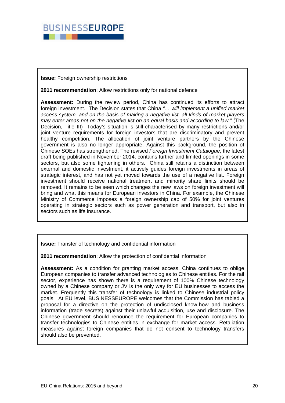![](_page_20_Picture_0.jpeg)

#### **Issue:** Foreign ownership restrictions

#### **2011 recommendation**: Allow restrictions only for national defence

**Assessment:** During the review period, China has continued its efforts to attract foreign investment. The Decision states that China *"… will implement a unified market access system, and on the basis of making a negative list, all kinds of market players may enter areas not on the negative list on an equal basis and according to law."* (The Decision, Title III) Today's situation is still characterised by many restrictions and/or joint venture requirements for foreign investors that are discriminatory and prevent healthy competition. The allocation of joint venture partners by the Chinese government is also no longer appropriate. Against this background, the position of Chinese SOEs has strengthened. The revised *Foreign Investment Catalogue*, the latest draft being published in November 2014, contains further and limited openings in some sectors, but also some tightening in others. China still retains a distinction between external and domestic investment, it actively guides foreign investments in areas of strategic interest, and has not yet moved towards the use of a negative list. Foreign investment should receive national treatment and minority share limits should be removed. It remains to be seen which changes the new laws on foreign investment will bring and what this means for European investors in China. For example, the Chinese Ministry of Commerce imposes a foreign ownership cap of 50% for joint ventures operating in strategic sectors such as power generation and transport, but also in sectors such as life insurance.

**Issue:** Transfer of technology and confidential information

**2011 recommendation**: Allow the protection of confidential information

**Assessment:** As a condition for granting market access, China continues to oblige European companies to transfer advanced technologies to Chinese entities. For the rail sector, experience has shown there is a requirement of 100% Chinese technology owned by a Chinese company or JV is the only way for EU businesses to access the market. Frequently this transfer of technology is linked to Chinese industrial policy goals. At EU level, BUSINESSEUROPE welcomes that the Commission has tabled a proposal for a directive on the protection of undisclosed know-how and business information (trade secrets) against their unlawful acquisition, use and disclosure. The Chinese government should renounce the requirement for European companies to transfer technologies to Chinese entities in exchange for market access. Retaliation measures against foreign companies that do not consent to technology transfers should also be prevented.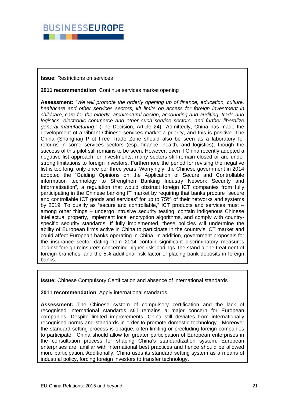![](_page_21_Picture_0.jpeg)

#### **Issue:** Restrictions on services

#### **2011 recommendation**: Continue services market opening

**Assessment:** *"We will promote the orderly opening up of finance, education, culture, healthcare and other services sectors, lift limits on access for foreign investment in childcare, care for the elderly, architectural design, accounting and auditing, trade and logistics, electronic commerce and other such service sectors, and further liberalize general manufacturing."* (The Decision, Article 24) Admittedly, China has made the development of a vibrant Chinese services market a priority, and this is positive. The China (Shanghai) Pilot Free Trade Zone should also be seen as a laboratory for reforms in some services sectors (esp. finance, health, and logistics), though the success of this pilot still remains to be seen. However, even if China recently adopted a negative list approach for investments, many sectors still remain closed or are under strong limitations to foreign investors. Furthermore the period for revising the negative list is too long: only once per three years. Worryingly, the Chinese government in 2014 adopted the "Guiding Opinions on the Application of Secure and Controllable information technology to Strengthen Banking Industry Network Security and Informatisation", a regulation that would obstruct foreign ICT companies from fully participating in the Chinese banking IT market by requiring that banks procure "secure and controllable ICT goods and services" for up to 75% of their networks and systems by 2019. To qualify as "secure and controllable," ICT products and services must – among other things – undergo intrusive security testing, contain indigenous Chinese intellectual property, implement local encryption algorithms, and comply with countryspecific security standards. If fully implemented, these policies will undermine the ability of European firms active in China to participate in the country's ICT market and could affect European banks operating in China. In addition, government proposals for the insurance sector dating from 2014 contain significant discriminatory measures against foreign reinsurers concerning higher risk loadings, the stand alone treatment of foreign branches, and the 5% additional risk factor of placing bank deposits in foreign banks.

**Issue:** Chinese Compulsory Certification and absence of international standards

#### **2011 recommendation**: Apply international standards

**Assessment:** The Chinese system of compulsory certification and the lack of recognised international standards still remains a major concern for European companies. Despite limited improvements, China still deviates from internationally recognised norms and standards in order to promote domestic technology. Moreover the standard setting process is opaque, often limiting or precluding foreign companies to participate. China should allow for greater participation of European enterprises in the consultation process for shaping China's standardization system. European enterprises are familiar with international best practices and hence should be allowed more participation. Additionally, China uses its standard setting system as a means of industrial policy, forcing foreign investors to transfer technology.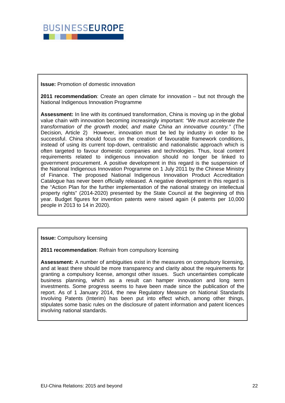![](_page_22_Picture_0.jpeg)

**Issue:** Promotion of domestic innovation

**2011 recommendation**: Create an open climate for innovation – but not through the National Indigenous Innovation Programme

**Assessment:** In line with its continued transformation, China is moving up in the global value chain with innovation becoming increasingly important: *"We must accelerate the transformation of the growth model, and make China an innovative country."* (The Decision, Article 2) However, innovation must be led by industry in order to be successful. China should focus on the creation of favourable framework conditions, instead of using its current top-down, centralistic and nationalistic approach which is often targeted to favour domestic companies and technologies. Thus, local content requirements related to indigenous innovation should no longer be linked to government procurement. A positive development in this regard is the suspension of the National Indigenous Innovation Programme on 1 July 2011 by the Chinese Ministry of Finance. The proposed National Indigenous Innovation Product Accreditation Catalogue has never been officially released. A negative development in this regard is the "Action Plan for the further implementation of the national strategy on intellectual property rights" (2014-2020) presented by the State Council at the beginning of this year. Budget figures for invention patents were raised again (4 patents per 10,000 people in 2013 to 14 in 2020).

**Issue:** Compulsory licensing

**2011 recommendation**: Refrain from compulsory licensing

**Assessment:** A number of ambiguities exist in the measures on compulsory licensing, and at least there should be more transparency and clarity about the requirements for granting a compulsory license, amongst other issues. Such uncertainties complicate business planning, which as a result can hamper innovation and long term investments. Some progress seems to have been made since the publication of the report. As of 1 January 2014, the new Regulatory Measure on National Standards Involving Patents (Interim) has been put into effect which, among other things, stipulates some basic rules on the disclosure of patent information and patent licences involving national standards.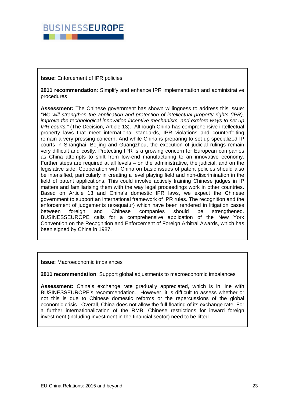![](_page_23_Picture_0.jpeg)

#### **Issue:** Enforcement of IPR policies

**2011 recommendation**: Simplify and enhance IPR implementation and administrative procedures

**Assessment:** The Chinese government has shown willingness to address this issue: *"We will strengthen the application and protection of intellectual property rights (IPR), improve the technological innovation incentive mechanism, and explore ways to set up IPR courts."* (The Decision, Article 13). Although China has comprehensive intellectual property laws that meet international standards, IPR violations and counterfeiting remain a very pressing concern. And while China is preparing to set up specialized IP courts in Shanghai, Beijing and Guangzhou, the execution of judicial rulings remain very difficult and costly. Protecting IPR is a growing concern for European companies as China attempts to shift from low-end manufacturing to an innovative economy. Further steps are required at all levels – on the administrative, the judicial, and on the legislative side. Cooperation with China on basic issues of patent policies should also be intensified, particularly in creating a level playing field and non-discrimination in the field of patent applications. This could involve actively training Chinese judges in IP matters and familiarising them with the way legal proceedings work in other countries. Based on Article 13 and China's domestic IPR laws, we expect the Chinese government to support an international framework of IPR rules. The recognition and the enforcement of judgements (exequatur) which have been rendered in litigation cases between foreign and Chinese companies should be strengthened. BUSINESSEUROPE calls for a comprehensive application of the New York Convention on the Recognition and Enforcement of Foreign Arbitral Awards, which has been signed by China in 1987.

**Issue:** Macroeconomic imbalances

**2011 recommendation**: Support global adjustments to macroeconomic imbalances

**Assessment:** China's exchange rate gradually appreciated, which is in line with BUSINESSEUROPE's recommendation. However, it is difficult to assess whether or not this is due to Chinese domestic reforms or the repercussions of the global economic crisis. Overall, China does not allow the full floating of its exchange rate. For a further internationalization of the RMB, Chinese restrictions for inward foreign investment (including investment in the financial sector) need to be lifted.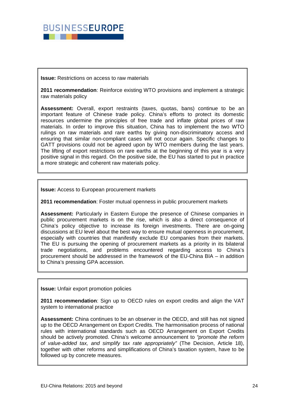![](_page_24_Picture_0.jpeg)

**Issue:** Restrictions on access to raw materials

**2011 recommendation**: Reinforce existing WTO provisions and implement a strategic raw materials policy

**Assessment:** Overall, export restraints (taxes, quotas, bans) continue to be an important feature of Chinese trade policy. China's efforts to protect its domestic resources undermine the principles of free trade and inflate global prices of raw materials. In order to improve this situation, China has to implement the two WTO rulings on raw materials and rare earths by giving non-discriminatory access and ensuring that similar non-compliant cases will not occur again. Specific changes to GATT provisions could not be agreed upon by WTO members during the last years. The lifting of export restrictions on rare earths at the beginning of this year is a very positive signal in this regard. On the positive side, the EU has started to put in practice a more strategic and coherent raw materials policy.

**Issue:** Access to European procurement markets

**2011 recommendation**: Foster mutual openness in public procurement markets

**Assessment:** Particularly in Eastern Europe the presence of Chinese companies in public procurement markets is on the rise, which is also a direct consequence of China's policy objective to increase its foreign investments. There are on-going discussions at EU level about the best way to ensure mutual openness in procurement, especially with countries that manifestly exclude EU companies from their markets. The EU is pursuing the opening of procurement markets as a priority in its bilateral trade negotiations, and problems encountered regarding access to China's procurement should be addressed in the framework of the EU-China BIA – in addition to China's pressing GPA accession.

**Issue:** Unfair export promotion policies

**2011 recommendation**: Sign up to OECD rules on export credits and align the VAT system to international practice

**Assessment:** China continues to be an observer in the OECD, and still has not signed up to the OECD Arrangement on Export Credits. The harmonisation process of national rules with international standards such as OECD Arrangement on Export Credits should be actively promoted. China's welcome announcement to *"promote the reform of value-added tax, and simplify tax rate appropriately"* (The Decision, Article 18), together with other reforms and simplifications of China's taxation system, have to be followed up by concrete measures.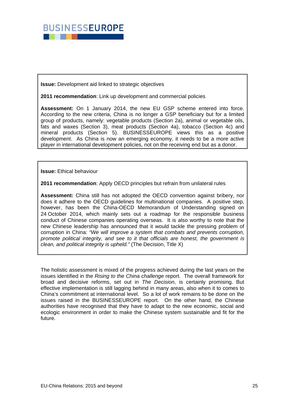![](_page_25_Picture_0.jpeg)

**Issue:** Development aid linked to strategic objectives

**2011 recommendation**: Link up development and commercial policies

**Assessment:** On 1 January 2014, the new EU GSP scheme entered into force. According to the new criteria, China is no longer a GSP beneficiary but for a limited group of products, namely: vegetable products (Section 2a), animal or vegetable oils, fats and waxes (Section 3), meat products (Section 4a), tobacco (Section 4c) and mineral products (Section 5). BUSINESSEUROPE views this as a positive development. As China is now an emerging economy, it needs to be a more active player in international development policies, not on the receiving end but as a donor.

**Issue:** Ethical behaviour

**2011 recommendation**: Apply OECD principles but refrain from unilateral rules

**Assessment:** China still has not adopted the OECD convention against bribery, nor does it adhere to the OECD guidelines for multinational companies. A positive step, however, has been the China-OECD Memorandum of Understanding signed on 24 October 2014, which mainly sets out a roadmap for the responsible business conduct of Chinese companies operating overseas. It is also worthy to note that the new Chinese leadership has announced that it would tackle the pressing problem of corruption in China: *"We will improve a system that combats and prevents corruption, promote political integrity, and see to it that officials are honest, the government is clean, and political integrity is upheld."* (The Decision, Title X)

The holistic assessment is mixed of the progress achieved during the last years on the issues identified in the *Rising to the China challenge* report. The overall framework for broad and decisive reforms, set out in *The Decision*, is certainly promising. But effective implementation is still lagging behind in many areas, also when it to comes to China's commitment at international level. So a lot of work remains to be done on the issues raised in the BUSINESSEUROPE report. On the other hand, the Chinese authorities have recognised that they have to adapt to the new economic, social and ecologic environment in order to make the Chinese system sustainable and fit for the future.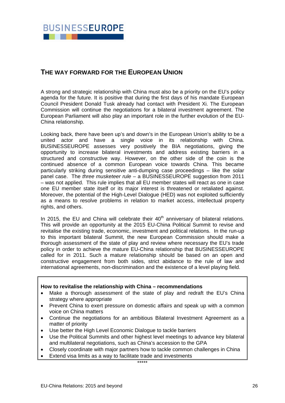![](_page_26_Picture_0.jpeg)

# **THE WAY FORWARD FOR THE EUROPEAN UNION**

A strong and strategic relationship with China must also be a priority on the EU's policy agenda for the future. It is positive that during the first days of his mandate European Council President Donald Tusk already had contact with President Xi. The European Commission will continue the negotiations for a bilateral investment agreement. The European Parliament will also play an important role in the further evolution of the EU-China relationship.

Looking back, there have been up's and down's in the European Union's ability to be a united actor and have a single voice in its relationship with China. BUSINESSEUROPE assesses very positively the BIA negotiations, giving the opportunity to increase bilateral investments and address existing barriers in a structured and constructive way. However, on the other side of the coin is the continued absence of a common European voice towards China. This became particularly striking during sensitive anti-dumping case proceedings – like the solar panel case. The *three musketeer rule* – a BUSINESSEUROPE suggestion from 2011 – was not applied. This rule implies that all EU member states will react as one in case one EU member state itself or its major interest is threatened or retaliated against. Moreover, the potential of the High-Level Dialogue (HED) was not exploited sufficiently as a means to resolve problems in relation to market access, intellectual property rights, and others.

In 2015, the EU and China will celebrate their  $40<sup>th</sup>$  anniversary of bilateral relations. This will provide an opportunity at the 2015 EU-China Political Summit to revise and revitalise the existing trade, economic, investment and political relations. In the run-up to this important bilateral Summit, the new European Commission should make a thorough assessment of the state of play and review where necessary the EU's trade policy in order to achieve the mature EU-China relationship that BUSINESSEUROPE called for in 2011. Such a mature relationship should be based on an open and constructive engagement from both sides, strict abidance to the rule of law and international agreements, non-discrimination and the existence of a level playing field.

#### **How to revitalise the relationship with China – recommendations**

- Make a thorough assessment of the state of play and redraft the EU's China strategy where appropriate
- Prevent China to exert pressure on domestic affairs and speak up with a common voice on China matters
- Continue the negotiations for an ambitious Bilateral Investment Agreement as a matter of priority
- Use better the High Level Economic Dialogue to tackle barriers
- Use the Political Summits and other highest level meetings to advance key bilateral and multilateral negotiations, such as China's accession to the GPA
- Closely coordinate with major partners how to tackle common challenges in China
- Extend visa limits as a way to facilitate trade and investments

\*\*\*\*\*